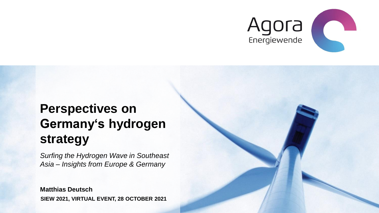

# **Perspectives on Germany's hydrogen strategy**

*Surfing the Hydrogen Wave in Southeast Asia – Insights from Europe & Germany* 

**SIEW 2021, VIRTUAL EVENT, 28 OCTOBER 2021 Matthias Deutsch**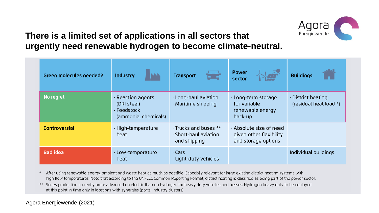

## **There is a limited set of applications in all sectors that urgently need renewable hydrogen to become climate-neutral.**

| <b>Green molecules needed?</b> | Industry<br><b>NAN</b>                                                              | <b>Transport</b>                                                             | 大学<br><b>Power</b><br>sector                                              | <b>Buildings</b>                                   |
|--------------------------------|-------------------------------------------------------------------------------------|------------------------------------------------------------------------------|---------------------------------------------------------------------------|----------------------------------------------------|
| No regret                      | $\cdot$ Reaction agents<br>(DRI steel)<br>$\cdot$ Feedstock<br>(ammonia, chemicals) | $\cdot$ Long-haul aviation<br>· Maritime shipping                            | $\cdot$ Long-term storage<br>for variable<br>renewable energy<br>back-up  | $\cdot$ District heating<br>(residual heat load *) |
| <b>Controversial</b>           | · High-temperature<br>heat                                                          | $\cdot$ Trucks and buses $**$<br>$\cdot$ Short-haul aviation<br>and shipping | · Absolute size of need<br>given other flexibility<br>and storage options |                                                    |
| <b>Bad idea</b>                | · Low-temperature<br>heat                                                           | $\cdot$ Cars<br>$\cdot$ Light-duty vehicles                                  |                                                                           | Individual buildings                               |

\* After using renewable energy, ambient and waste heat as much as possible. Especially relevant for large existing district heating systems with high flow temperatures. Note that according to the UNFCCC Common Reporting Format, district heating is classified as being part of the power sector.

\*\* Series production currently more advanced on electric than on hydrogen for heavy duty vehicles and busses. Hydrogen heavy duty to be deployed at this point in time only in locations with synergies (ports, industry clusters).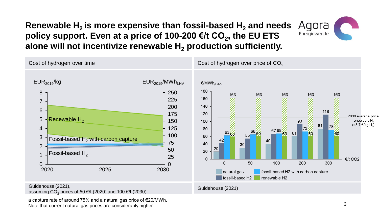# **Renewable H2 is more expensive than fossil-based H<sup>2</sup> and needs policy support. Even at a price of 100-200 €/t CO<sup>2</sup> , the EU ETS alone will not incentivize renewable H<sup>2</sup> production sufficiently.**



a capture rate of around 75% and a natural gas price of €20/MWh. Note that current natural gas prices are considerably higher.

Agora Energiewende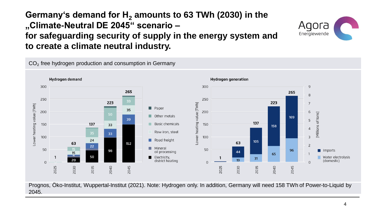## **Germany's demand for H<sup>2</sup> amounts to 63 TWh (2030) in the "Climate-Neutral DE 2045" scenario – for safeguarding security of supply in the energy system and to create a climate neutral industry.**

Aqora Energiewende

CO<sub>2</sub> free hydrogen production and consumption in Germany



Prognos, Öko-Institut, Wuppertal-Institut (2021). Note: Hydrogen only. In addition, Germany will need 158 TWh of Power-to-Liquid by 2045.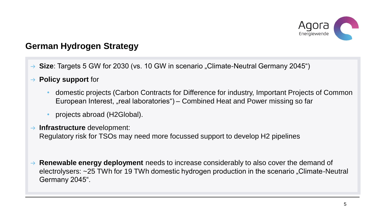

#### **German Hydrogen Strategy**

- → Size: Targets 5 GW for 2030 (vs. 10 GW in scenario "Climate-Neutral Germany 2045")
- **Policy support** for  $\rightarrow$ 
	- domestic projects (Carbon Contracts for Difference for industry, Important Projects of Common European Interest, "real laboratories") – Combined Heat and Power missing so far
	- projects abroad (H2Global).
- **Infrastructure** development:

Regulatory risk for TSOs may need more focussed support to develop H2 pipelines

→ **Renewable energy deployment** needs to increase considerably to also cover the demand of electrolysers: ~25 TWh for 19 TWh domestic hydrogen production in the scenario "Climate-Neutral Germany 2045".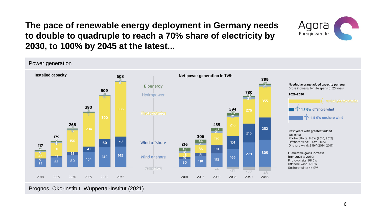#### **The pace of renewable energy deployment in Germany needs to double to quadruple to reach a 70% share of electricity by 2030, to 100% by 2045 at the latest...**





Prognos, Öko-Institut, Wuppertal-Institut (2021)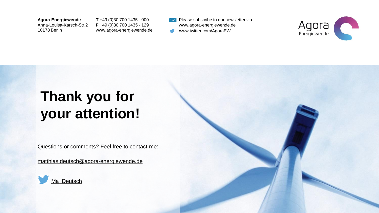**Agora Energiewende**

Anna-Louisa-Karsch-Str.2 10178 Berlin

**T** +49 (0)30 700 1435 - 000 **F** +49 (0)30 700 1435 - 129 www.agora-energiewende.de

Please subscribe to our newsletter via www.agora-energiewende.de www.twitter.com/AgoraEW W



# **Thank you for your attention!**

Questions or comments? Feel free to contact me:

[matthias.deutsch@agora-energiewende.de](mailto:matthias.deutsch@agora-energiewende.de)